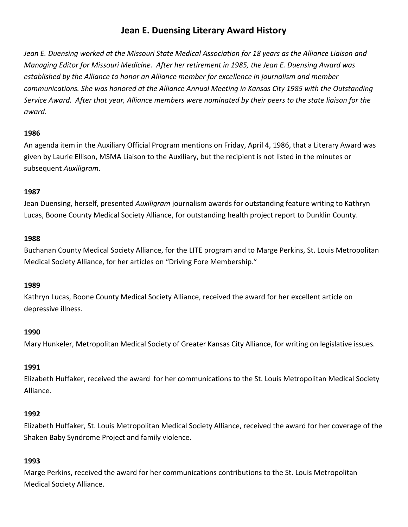# **Jean E. Duensing Literary Award History**

*Jean E. Duensing worked at the Missouri State Medical Association for 18 years as the Alliance Liaison and Managing Editor for Missouri Medicine. After her retirement in 1985, the Jean E. Duensing Award was established by the Alliance to honor an Alliance member for excellence in journalism and member communications. She was honored at the Alliance Annual Meeting in Kansas City 1985 with the Outstanding Service Award. After that year, Alliance members were nominated by their peers to the state liaison for the award.*

# **1986**

An agenda item in the Auxiliary Official Program mentions on Friday, April 4, 1986, that a Literary Award was given by Laurie Ellison, MSMA Liaison to the Auxiliary, but the recipient is not listed in the minutes or subsequent *Auxiligram*.

# **1987**

Jean Duensing, herself, presented *Auxiligram* journalism awards for outstanding feature writing to Kathryn Lucas, Boone County Medical Society Alliance, for outstanding health project report to Dunklin County.

## **1988**

Buchanan County Medical Society Alliance, for the LITE program and to Marge Perkins, St. Louis Metropolitan Medical Society Alliance, for her articles on "Driving Fore Membership."

## **1989**

Kathryn Lucas, Boone County Medical Society Alliance, received the award for her excellent article on depressive illness.

## **1990**

Mary Hunkeler, Metropolitan Medical Society of Greater Kansas City Alliance, for writing on legislative issues.

# **1991**

Elizabeth Huffaker, received the award for her communications to the St. Louis Metropolitan Medical Society Alliance.

## **1992**

Elizabeth Huffaker, St. Louis Metropolitan Medical Society Alliance, received the award for her coverage of the Shaken Baby Syndrome Project and family violence.

# **1993**

Marge Perkins, received the award for her communications contributions to the St. Louis Metropolitan Medical Society Alliance.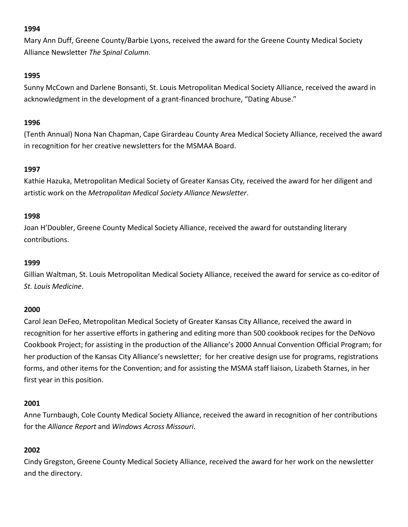Mary Ann Duff, Greene County/Barbie Lyons, received the award for the Greene County Medical Society Alliance Newsletter *The Spinal Column.*

# **1995**

Sunny McCown and Darlene Bonsanti, St. Louis Metropolitan Medical Society Alliance, received the award in acknowledgment in the development of a grant-financed brochure, "Dating Abuse."

# **1996**

(Tenth Annual) Nona Nan Chapman, Cape Girardeau County Area Medical Society Alliance, received the award in recognition for her creative newsletters for the MSMAA Board.

# **1997**

Kathie Hazuka, Metropolitan Medical Society of Greater Kansas City, received the award for her diligent and artistic work on the *Metropolitan Medical Society Alliance Newsletter*.

# **1998**

Joan H'Doubler, Greene County Medical Society Alliance, received the award for outstanding literary contributions.

# **1999**

Gillian Waltman, St. Louis Metropolitan Medical Society Alliance, received the award for service as co-editor of *St. Louis Medicine*.

# **2000**

Carol Jean DeFeo, Metropolitan Medical Society of Greater Kansas City Alliance, received the award in recognition for her assertive efforts in gathering and editing more than 500 cookbook recipes for the DeNovo Cookbook Project; for assisting in the production of the Alliance's 2000 Annual Convention Official Program; for her production of the Kansas City Alliance's newsletter; for her creative design use for programs, registrations forms, and other items for the Convention; and for assisting the MSMA staff liaison, Lizabeth Starnes, in her first year in this position.

# **2001**

Anne Turnbaugh, Cole County Medical Society Alliance, received the award in recognition of her contributions for the *Alliance Report* and *Windows Across Missouri*.

# **2002**

Cindy Gregston, Greene County Medical Society Alliance, received the award for her work on the newsletter and the directory.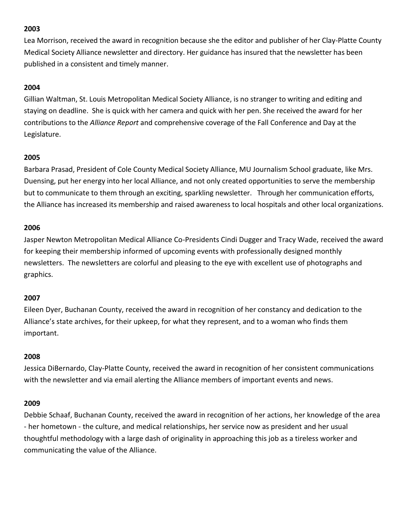Lea Morrison, received the award in recognition because she the editor and publisher of her Clay-Platte County Medical Society Alliance newsletter and directory. Her guidance has insured that the newsletter has been published in a consistent and timely manner.

# **2004**

Gillian Waltman, St. Louis Metropolitan Medical Society Alliance, is no stranger to writing and editing and staying on deadline. She is quick with her camera and quick with her pen. She received the award for her contributions to the *Alliance Report* and comprehensive coverage of the Fall Conference and Day at the Legislature.

# **2005**

Barbara Prasad, President of Cole County Medical Society Alliance, MU Journalism School graduate, like Mrs. Duensing, put her energy into her local Alliance, and not only created opportunities to serve the membership but to communicate to them through an exciting, sparkling newsletter. Through her communication efforts, the Alliance has increased its membership and raised awareness to local hospitals and other local organizations.

## **2006**

Jasper Newton Metropolitan Medical Alliance Co-Presidents Cindi Dugger and Tracy Wade, received the award for keeping their membership informed of upcoming events with professionally designed monthly newsletters. The newsletters are colorful and pleasing to the eye with excellent use of photographs and graphics.

## **2007**

Eileen Dyer, Buchanan County, received the award in recognition of her constancy and dedication to the Alliance's state archives, for their upkeep, for what they represent, and to a woman who finds them important.

## **2008**

Jessica DiBernardo, Clay-Platte County, received the award in recognition of her consistent communications with the newsletter and via email alerting the Alliance members of important events and news.

## **2009**

Debbie Schaaf, Buchanan County, received the award in recognition of her actions, her knowledge of the area - her hometown - the culture, and medical relationships, her service now as president and her usual thoughtful methodology with a large dash of originality in approaching this job as a tireless worker and communicating the value of the Alliance.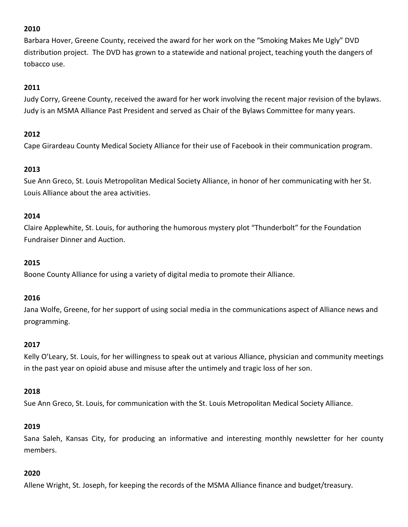Barbara Hover, Greene County, received the award for her work on the "Smoking Makes Me Ugly" DVD distribution project. The DVD has grown to a statewide and national project, teaching youth the dangers of tobacco use.

## **2011**

Judy Corry, Greene County, received the award for her work involving the recent major revision of the bylaws. Judy is an MSMA Alliance Past President and served as Chair of the Bylaws Committee for many years.

# **2012**

Cape Girardeau County Medical Society Alliance for their use of Facebook in their communication program.

# **2013**

Sue Ann Greco, St. Louis Metropolitan Medical Society Alliance, in honor of her communicating with her St. Louis Alliance about the area activities.

## **2014**

Claire Applewhite, St. Louis, for authoring the humorous mystery plot "Thunderbolt" for the Foundation Fundraiser Dinner and Auction.

## **2015**

Boone County Alliance for using a variety of digital media to promote their Alliance.

## **2016**

Jana Wolfe, Greene, for her support of using social media in the communications aspect of Alliance news and programming.

## **2017**

Kelly O'Leary, St. Louis, for her willingness to speak out at various Alliance, physician and community meetings in the past year on opioid abuse and misuse after the untimely and tragic loss of her son.

## **2018**

Sue Ann Greco, St. Louis, for communication with the St. Louis Metropolitan Medical Society Alliance.

## **2019**

Sana Saleh, Kansas City, for producing an informative and interesting monthly newsletter for her county members.

## **2020**

Allene Wright, St. Joseph, for keeping the records of the MSMA Alliance finance and budget/treasury.